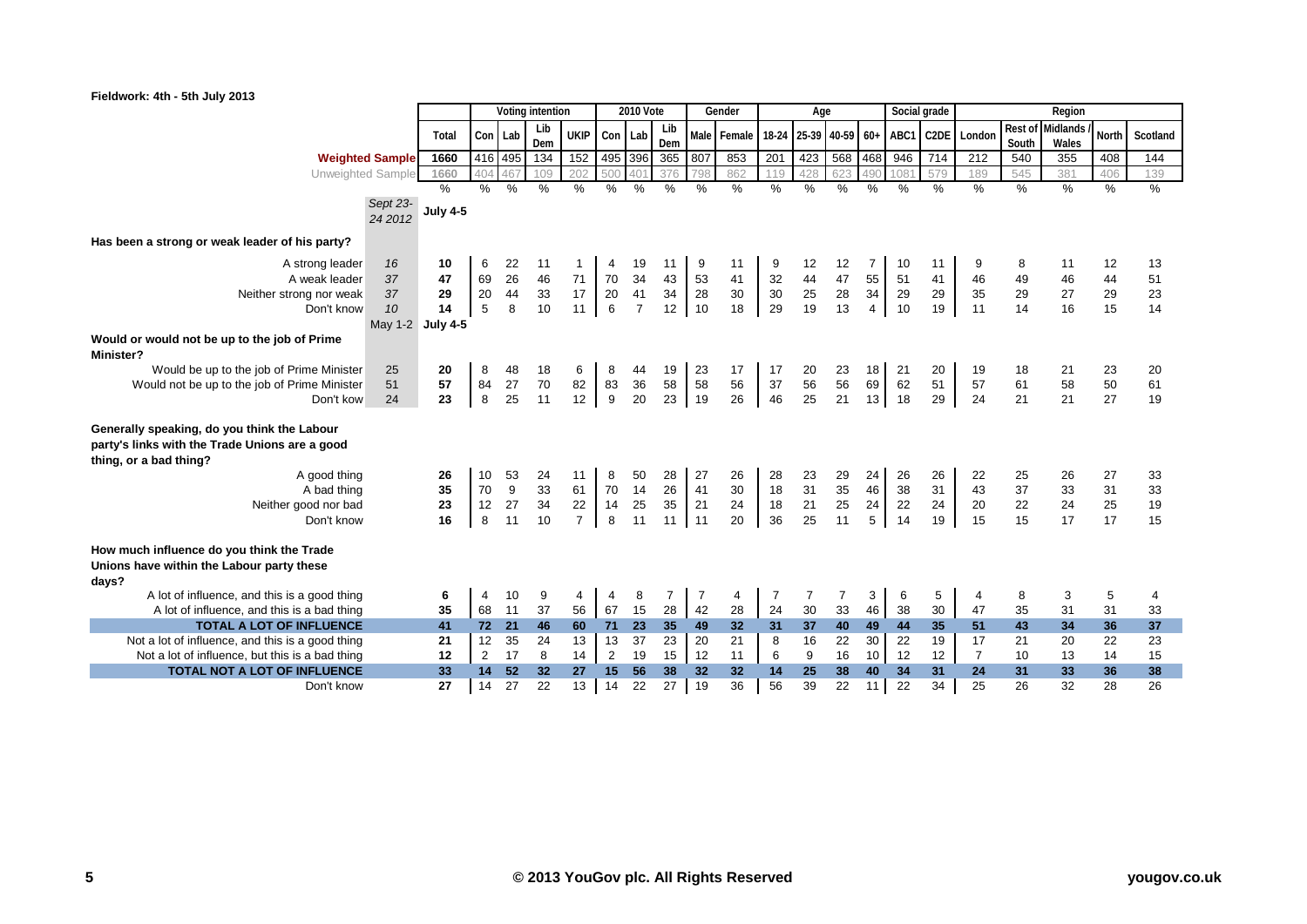|                                                                                                                                                                                |                        |                 | Voting intention |               |                |                |                | <b>2010 Vote</b> |                |                | Gender         |                | Age            |                 |                |                | Social grade      |                      |                | Region          |                |                |
|--------------------------------------------------------------------------------------------------------------------------------------------------------------------------------|------------------------|-----------------|------------------|---------------|----------------|----------------|----------------|------------------|----------------|----------------|----------------|----------------|----------------|-----------------|----------------|----------------|-------------------|----------------------|----------------|-----------------|----------------|----------------|
|                                                                                                                                                                                |                        |                 |                  |               | Lib            | <b>UKIP</b>    |                |                  | Lib            |                |                |                |                |                 |                |                |                   |                      | Rest of        | <b>Midlands</b> | <b>North</b>   |                |
|                                                                                                                                                                                |                        | Total           | Con Lab          |               | Dem            |                | Con Lab        |                  | Dem            |                | Male Female    | 18-24          |                | 25-39 40-59 60+ |                | ABC1           | C <sub>2</sub> DE | London               | South          | Wales           |                | Scotland       |
|                                                                                                                                                                                | <b>Weighted Sample</b> | 1660            |                  | 416 495       | 134            | 152            |                | 495 396          | 365            | 807            | 853            | 201            | 423            | 568 468         |                | 946            | 714               | 212                  | 540            | 355             | 408            | 144            |
| Unweighted Sample                                                                                                                                                              |                        | 1660            | 404              | 167           | 109            | 202            | 500            | 40               | 376            | 798            | 862            | 119            | 428            | 623             | 490            | 108'           | 579               | 189                  | 545            | 381             | 406            | 139            |
|                                                                                                                                                                                |                        | $\%$            | $\frac{9}{6}$    | $\frac{9}{6}$ | $\%$           | $\frac{0}{0}$  | $\frac{0}{0}$  | $\%$             | $\frac{0}{0}$  | $\%$           | $\frac{0}{0}$  | $\frac{9}{6}$  | $\frac{0}{6}$  | $\frac{0}{0}$   | $\%$           | $\%$           | $\%$              | $\frac{9}{6}$        | $\frac{0}{0}$  | $\frac{9}{6}$   | $\frac{9}{6}$  | $\frac{9}{6}$  |
|                                                                                                                                                                                | Sept 23-<br>24 2012    | <b>July 4-5</b> |                  |               |                |                |                |                  |                |                |                |                |                |                 |                |                |                   |                      |                |                 |                |                |
| Has been a strong or weak leader of his party?                                                                                                                                 |                        |                 |                  |               |                |                |                |                  |                |                |                |                |                |                 |                |                |                   |                      |                |                 |                |                |
| A strong leader                                                                                                                                                                | 16                     | 10              | 6                | 22            | 11             |                | 4              | 19               | 11             | 9              | 11             | 9              | 12             | 12              | 7              | 10             | 11                | 9                    | 8              | 11              | 12             | 13             |
| A weak leader                                                                                                                                                                  | 37                     | 47              | 69               | 26            | 46             | 71             | 70             | 34               | 43             | 53             | 41             | 32             | 44             | 47              | 55             | 51             | 41                | 46                   | 49             | 46              | 44             | 51             |
| Neither strong nor weak                                                                                                                                                        | 37                     | 29              | 20               | 44            | 33             | 17             | 20             | 41               | 34             | 28             | $30\,$         | 30             | 25             | 28              | 34             | 29             | 29                | 35                   | 29             | 27              | 29             | 23             |
| Don't know                                                                                                                                                                     | 10                     | 14              | 5                | 8             | 10             | 11             | 6              | $\overline{7}$   | 12             | 10             | 18             | 29             | 19             | 13              | 4              | 10             | 19                | 11                   | 14             | 16              | 15             | 14             |
|                                                                                                                                                                                | May 1-2 July 4-5       |                 |                  |               |                |                |                |                  |                |                |                |                |                |                 |                |                |                   |                      |                |                 |                |                |
| Would or would not be up to the job of Prime<br><b>Minister?</b>                                                                                                               |                        |                 |                  |               |                |                |                |                  |                |                |                |                |                |                 |                |                |                   |                      |                |                 |                |                |
| Would be up to the job of Prime Minister                                                                                                                                       | 25                     | 20              | 8                | 48            | 18             | 6              | 8              | 44               | 19             | 23             | 17             | 17             | 20             | 23              | 18             | 21             | 20                | 19                   | 18             | 21              | 23             | 20             |
| Would not be up to the job of Prime Minister                                                                                                                                   | 51                     | 57              | 84               | 27            | 70             | 82             | 83             | 36               | 58             | 58             | 56             | 37             | 56             | 56              | 69             | 62             | 51                | 57                   | 61             | 58              | 50             | 61             |
| Don't kow                                                                                                                                                                      | 24                     | 23              | 8                | 25            | 11             | 12             | 9              | 20               | 23             | 19             | 26             | 46             | 25             | 21              | 13             | 18             | 29                | 24                   | 21             | 21              | 27             | 19             |
| Generally speaking, do you think the Labour<br>party's links with the Trade Unions are a good<br>thing, or a bad thing?<br>A good thing<br>A bad thing<br>Neither good nor bad |                        | 26<br>35<br>23  | 10<br>70<br>12   | 53<br>9<br>27 | 24<br>33<br>34 | 11<br>61<br>22 | 8<br>70<br>14  | 50<br>14<br>25   | 28<br>26<br>35 | 27<br>41<br>21 | 26<br>30<br>24 | 28<br>18<br>18 | 23<br>31<br>21 | 29<br>35<br>25  | 24<br>46<br>24 | 26<br>38<br>22 | 26<br>31<br>24    | 22<br>43<br>20       | 25<br>37<br>22 | 26<br>33<br>24  | 27<br>31<br>25 | 33<br>33<br>19 |
| Don't know                                                                                                                                                                     |                        | 16              | 8                | 11            | 10             | $\overline{7}$ | 8              | 11               | 11             | 11             | 20             | 36             | 25             | 11              | 5              | 14             | 19                | 15                   | 15             | 17              | 17             | 15             |
| How much influence do you think the Trade<br>Unions have within the Labour party these<br>days?                                                                                |                        |                 |                  |               |                |                |                |                  |                |                |                |                |                |                 |                |                |                   |                      |                |                 |                |                |
| A lot of influence, and this is a good thing                                                                                                                                   |                        | 6               | 4                | 10            | 9              | 4              | $\overline{4}$ | 8                | $\overline{7}$ | 7              | 4              | 7              | 7              | 7               | 3              | 6              | 5                 | 4                    | 8              | 3               | 5              | 4              |
| A lot of influence, and this is a bad thing                                                                                                                                    |                        | 35              | 68               | 11            | 37             | 56             | 67             | 15               | 28             | 42             | 28             | 24             | 30             | 33              | 46             | 38             | 30                | 47                   | 35             | 31              | 31             | 33             |
| <b>TOTAL A LOT OF INFLUENCE</b>                                                                                                                                                |                        | 41              | 72               | 21            | 46             | 60             | 71             | 23               | 35             | 49             | 32             | 31             | 37             | 40              | 49             | 44             | 35                | 51                   | 43             | 34              | 36             | 37             |
| Not a lot of influence, and this is a good thing                                                                                                                               |                        | 21              | 12               | 35            | 24             | 13             | 13             | 37               | 23             | 20             | 21             | 8              | 16             | 22              | 30             | 22             | 19                | 17                   | 21             | 20              | 22             | 23             |
| Not a lot of influence, but this is a bad thing                                                                                                                                |                        | 12              | 2                | 17<br>52      | 8<br>32        | 14             | $\overline{2}$ | 19<br>56         | 15             | 12             | 11             | 6              | 9              | 16              | 10             | 12             | 12                | $\overline{7}$<br>24 | 10             | 13              | 14             | 15             |
| TOTAL NOT A LOT OF INFLUENCE                                                                                                                                                   |                        | 33              | 14<br>14         |               |                | 27             | 15             |                  | 38             | 32<br>19       | 32             | 14             | 25             | 38              | 40             | 34             | 31<br>34          | 25                   | 31             | 33<br>32        | 36             | 38<br>26       |
| Don't know                                                                                                                                                                     |                        | 27              |                  | 27            | 22             | 13             | 14             | 22               | 27             |                | 36             | 56             | 39             | 22              | 11             | 22             |                   |                      | 26             |                 | 28             |                |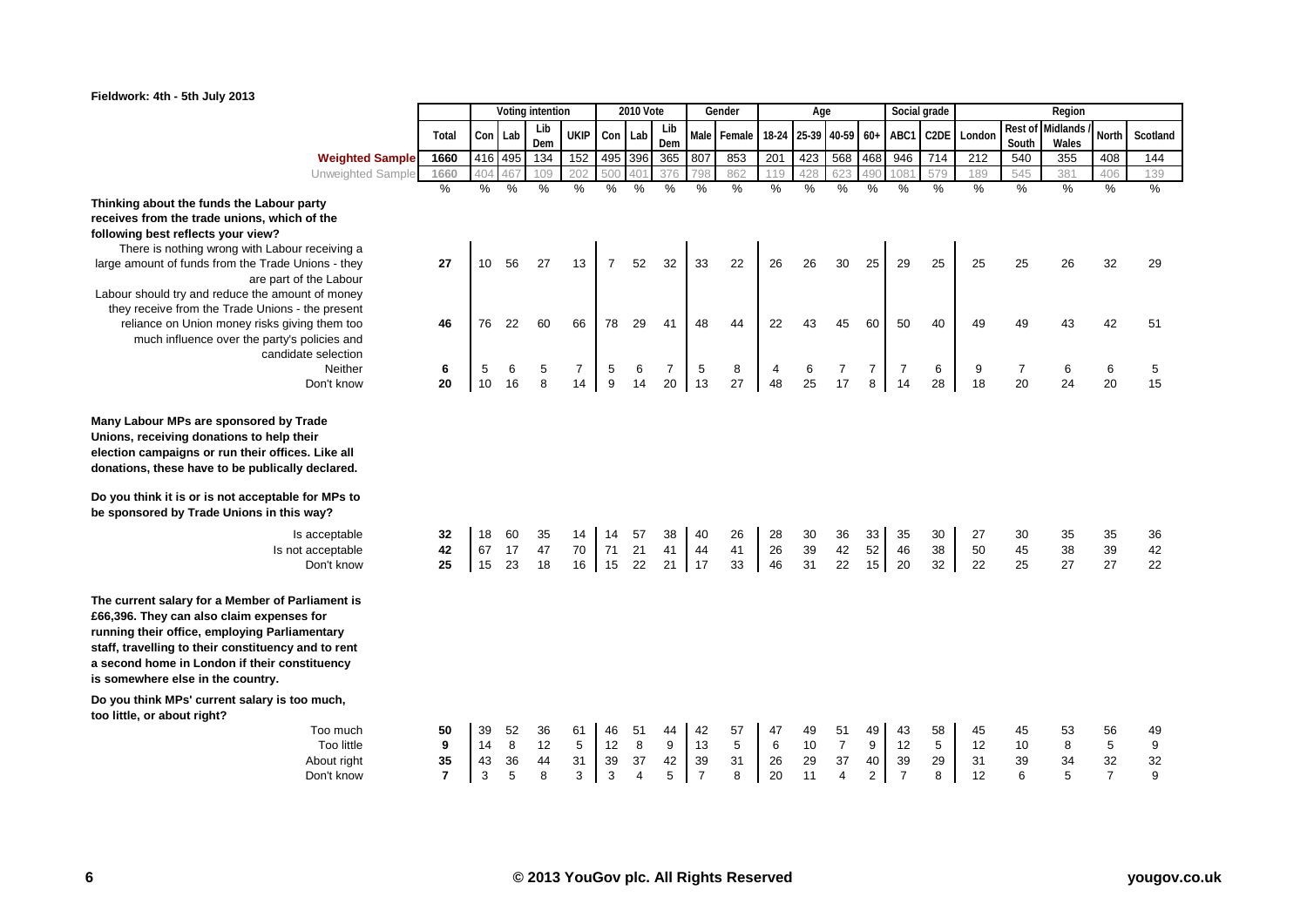

| Fieldwork: 4th - 5th July 2013 |  |  |  |  |
|--------------------------------|--|--|--|--|
|--------------------------------|--|--|--|--|

|                                                                                                                                                                                                                                                                                             |                |     |               | Voting intention |                |         | 2010 Vote |            |                | Gender        |                | Age                   |                |                  | Social grade   |                   |                  |                | Region                    |                |               |
|---------------------------------------------------------------------------------------------------------------------------------------------------------------------------------------------------------------------------------------------------------------------------------------------|----------------|-----|---------------|------------------|----------------|---------|-----------|------------|----------------|---------------|----------------|-----------------------|----------------|------------------|----------------|-------------------|------------------|----------------|---------------------------|----------------|---------------|
|                                                                                                                                                                                                                                                                                             | Total          |     | Con Lab       | Lib<br>Dem       | <b>UKIP</b>    | Con Lab |           | Lib<br>Dem |                | Male Female   |                | 18-24 25-39 40-59 60+ |                |                  | ABC1           | C <sub>2</sub> DE | London           | South          | Rest of Midlands<br>Wales | North          | Scotland      |
| <b>Weighted Sample</b>                                                                                                                                                                                                                                                                      | 1660           |     | 416 495       | 134              | 152            |         | 495 396   | 365        | 807            | 853           | 201            | 423                   | 568 468        |                  | 946            | 714               | $\overline{212}$ | 540            | 355                       | 408            | 144           |
| Unweighted Sample                                                                                                                                                                                                                                                                           | 1660           | 404 | 467           | 109              | 202            | 500     | 40        | 376        | 798            | 862           | 119            | 428                   | 623            | 490              | 1081           | 579               | 189              | 545            | 381                       | 406            | 139           |
|                                                                                                                                                                                                                                                                                             | $\frac{0}{6}$  | %   | $\frac{0}{6}$ | $\frac{0}{0}$    | $\%$           | %       | %         | $\%$       | $\frac{0}{0}$  | $\frac{9}{6}$ | $\%$           | $\frac{9}{6}$         | %              | $\%$             | $\%$           | $\frac{0}{0}$     | $\%$             | %              | $\%$                      | %              | $\frac{9}{6}$ |
| Thinking about the funds the Labour party                                                                                                                                                                                                                                                   |                |     |               |                  |                |         |           |            |                |               |                |                       |                |                  |                |                   |                  |                |                           |                |               |
| receives from the trade unions, which of the                                                                                                                                                                                                                                                |                |     |               |                  |                |         |           |            |                |               |                |                       |                |                  |                |                   |                  |                |                           |                |               |
| following best reflects your view?                                                                                                                                                                                                                                                          |                |     |               |                  |                |         |           |            |                |               |                |                       |                |                  |                |                   |                  |                |                           |                |               |
| There is nothing wrong with Labour receiving a                                                                                                                                                                                                                                              |                |     |               |                  |                |         |           |            |                |               |                |                       |                |                  |                |                   |                  |                |                           |                |               |
| large amount of funds from the Trade Unions - they                                                                                                                                                                                                                                          | 27             | 10  | 56            | 27               | 13             | 7       | 52        | 32         | 33             | 22            | 26             | 26                    | 30             | 25               | 29             | 25                | 25               | 25             | 26                        | 32             | 29            |
| are part of the Labour                                                                                                                                                                                                                                                                      |                |     |               |                  |                |         |           |            |                |               |                |                       |                |                  |                |                   |                  |                |                           |                |               |
| Labour should try and reduce the amount of money<br>they receive from the Trade Unions - the present                                                                                                                                                                                        |                |     |               |                  |                |         |           |            |                |               |                |                       |                |                  |                |                   |                  |                |                           |                |               |
| reliance on Union money risks giving them too                                                                                                                                                                                                                                               | 46             | 76  | 22            | 60               | 66             | 78      | 29        | 41         | 48             | 44            | 22             | 43                    | 45             | 60               | 50             | 40                | 49               | 49             | 43                        | 42             | 51            |
| much influence over the party's policies and                                                                                                                                                                                                                                                |                |     |               |                  |                |         |           |            |                |               |                |                       |                |                  |                |                   |                  |                |                           |                |               |
| candidate selection                                                                                                                                                                                                                                                                         |                |     |               |                  |                |         |           |            |                |               |                |                       |                |                  |                |                   |                  |                |                           |                |               |
| Neither                                                                                                                                                                                                                                                                                     | 6              | 5   | 6             | 5                | $\overline{7}$ | 5       | 6         | 7          | 5              | 8             | $\overline{4}$ | 6                     | 7              | $\overline{7}$   | $\overline{7}$ | 6                 | 9                | $\overline{7}$ | 6                         | 6              | 5             |
| Don't know                                                                                                                                                                                                                                                                                  | 20             | 10  | 16            | 8                | 14             | 9       | 14        | 20         | 13             | 27            | 48             | 25                    | 17             | 8                | 14             | 28                | 18               | 20             | 24                        | 20             | 15            |
|                                                                                                                                                                                                                                                                                             |                |     |               |                  |                |         |           |            |                |               |                |                       |                |                  |                |                   |                  |                |                           |                |               |
| Many Labour MPs are sponsored by Trade<br>Unions, receiving donations to help their<br>election campaigns or run their offices. Like all<br>donations, these have to be publically declared.<br>Do you think it is or is not acceptable for MPs to                                          |                |     |               |                  |                |         |           |            |                |               |                |                       |                |                  |                |                   |                  |                |                           |                |               |
| be sponsored by Trade Unions in this way?                                                                                                                                                                                                                                                   |                |     |               |                  |                |         |           |            |                |               |                |                       |                |                  |                |                   |                  |                |                           |                |               |
| Is acceptable                                                                                                                                                                                                                                                                               | 32             | 18  | 60            | 35               | 14             | 14      | 57        | 38         | 40             | 26            | 28             | 30                    | 36             | 33               | 35             | 30                | 27               | 30             | 35                        | 35             | 36            |
| Is not acceptable                                                                                                                                                                                                                                                                           | 42             | 67  | 17            | 47               | 70             | 71      | 21        | 41         | 44             | 41            | 26             | 39                    | 42             | 52               | 46             | 38                | 50               | 45             | 38                        | 39             | 42            |
| Don't know                                                                                                                                                                                                                                                                                  | 25             | 15  | 23            | 18               | 16             | 15      | 22        | 21         | 17             | 33            | 46             | 31                    | 22             | 15 <sup>15</sup> | 20             | 32                | 22               | 25             | 27                        | 27             | 22            |
| The current salary for a Member of Parliament is<br>£66,396. They can also claim expenses for<br>running their office, employing Parliamentary<br>staff, travelling to their constituency and to rent<br>a second home in London if their constituency<br>is somewhere else in the country. |                |     |               |                  |                |         |           |            |                |               |                |                       |                |                  |                |                   |                  |                |                           |                |               |
| Do you think MPs' current salary is too much,                                                                                                                                                                                                                                               |                |     |               |                  |                |         |           |            |                |               |                |                       |                |                  |                |                   |                  |                |                           |                |               |
| too little, or about right?                                                                                                                                                                                                                                                                 |                |     |               |                  |                |         |           |            |                |               |                |                       |                |                  |                |                   |                  |                |                           |                |               |
| Too much                                                                                                                                                                                                                                                                                    | 50             | 39  | 52            | 36               | 61             | 46      | 51        | 44         | 42             | 57            | 47             | 49                    | 51             | 49               | 43             | 58                | 45               | 45             | 53                        | 56             | 49            |
| Too little                                                                                                                                                                                                                                                                                  | 9              | 14  | 8             | 12               | 5              | 12      | 8         | 9          | 13             | 5             | 6              | 10                    | $\overline{7}$ | 9                | 12             | 5                 | 12               | 10             | 8                         | 5              | 9             |
| About right                                                                                                                                                                                                                                                                                 | 35             | 43  | 36            | 44               | 31             | 39      | 37        | 42         | 39             | 31            | 26             | 29                    | 37             | 40               | 39             | 29                | 31               | 39             | 34                        | 32             | 32            |
| Don't know                                                                                                                                                                                                                                                                                  | $\overline{7}$ | 3   | 5             | 8                | 3              | 3       | 4         | 5          | $\overline{7}$ | 8             | 20             | 11                    | $\overline{4}$ | $\overline{2}$   | $\overline{7}$ | 8                 | 12               | 6              | 5                         | $\overline{7}$ | 9             |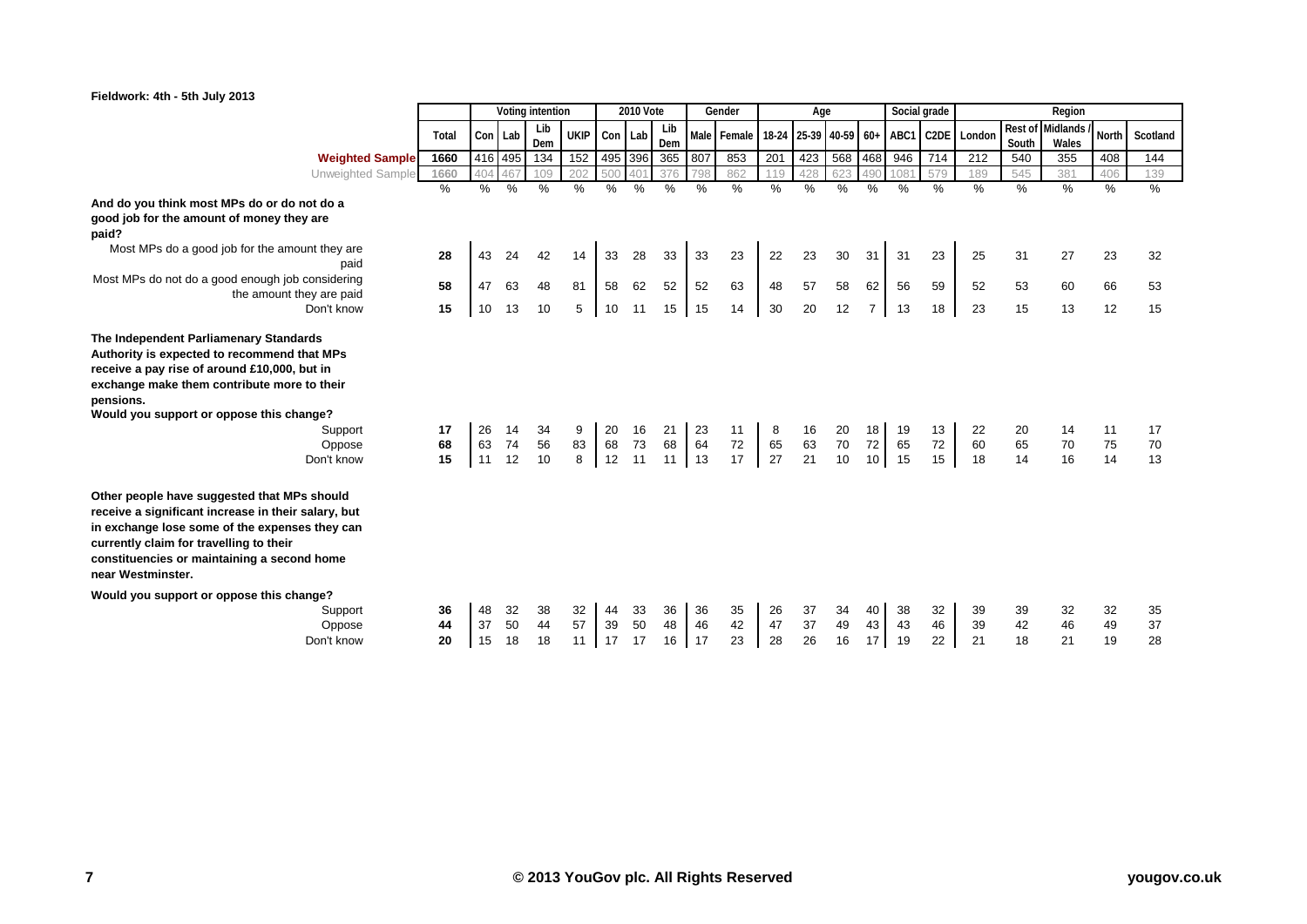

| Fieldwork: 4th - 5th July 2013                                                                                                                                                                                                                                                   |                |                |                |                  |                |                |                  |                |                |                    |                |                 |                |                             |                |                   |                |                |                           |                | What the       |
|----------------------------------------------------------------------------------------------------------------------------------------------------------------------------------------------------------------------------------------------------------------------------------|----------------|----------------|----------------|------------------|----------------|----------------|------------------|----------------|----------------|--------------------|----------------|-----------------|----------------|-----------------------------|----------------|-------------------|----------------|----------------|---------------------------|----------------|----------------|
|                                                                                                                                                                                                                                                                                  |                |                |                | Voting intention |                |                | <b>2010 Vote</b> |                |                | Gender             |                | Age             |                |                             | Social grade   |                   |                |                | Region                    |                |                |
|                                                                                                                                                                                                                                                                                  | Total          |                | Con Lab        | Lib<br>Dem       | <b>UKIP</b>    | Con Lab        |                  | Lib<br>Dem     |                | Male Female 18-24  |                | 25-39 40-59 60+ |                |                             | ABC1           | C <sub>2</sub> DE | London         | South          | Rest of Midlands<br>Wales | North          | Scotland       |
| <b>Weighted Sample</b>                                                                                                                                                                                                                                                           | 1660           |                | 416 495        | 134              | 152            | 495 396        |                  | 365            | 807            | 853                | 201            | 423             | 568            | 468                         | 946            | 714               | 212            | 540            | 355                       | 408            | 144            |
| Unweighted Sample                                                                                                                                                                                                                                                                | 1660           | 404            | 467            | 109              | 202            | 500            | 401              | 376            |                | 862                | 19             | 428             | 623            | 490                         | 108            | 579               | 189            | 545            | 381                       | 406            | 139            |
|                                                                                                                                                                                                                                                                                  | $\frac{0}{0}$  | $\%$           | $\%$           | %                | $\%$           | $\%$           | $\%$             | $\%$           | %              | %                  | $\%$           | $\%$            | $\%$           | $\%$                        | %              | $\%$              | $\frac{0}{0}$  | $\%$           | %                         | %              | %              |
| And do you think most MPs do or do not do a                                                                                                                                                                                                                                      |                |                |                |                  |                |                |                  |                |                |                    |                |                 |                |                             |                |                   |                |                |                           |                |                |
| good job for the amount of money they are                                                                                                                                                                                                                                        |                |                |                |                  |                |                |                  |                |                |                    |                |                 |                |                             |                |                   |                |                |                           |                |                |
| paid?                                                                                                                                                                                                                                                                            |                |                |                |                  |                |                |                  |                |                |                    |                |                 |                |                             |                |                   |                |                |                           |                |                |
| Most MPs do a good job for the amount they are<br>paid                                                                                                                                                                                                                           | 28             | 43             | 24             | 42               | 14             | 33             | 28               | 33             | 33             | 23                 | 22             | 23              | 30             | 31                          | 31             | 23                | 25             | 31             | 27                        | 23             | 32             |
| Most MPs do not do a good enough job considering<br>the amount they are paid                                                                                                                                                                                                     | 58             | 47             | 63             | 48               | 81             | 58             | 62               | 52             | 52             | 63                 | 48             | 57              | 58             | 62                          | 56             | 59                | 52             | 53             | 60                        | 66             | 53             |
| Don't know                                                                                                                                                                                                                                                                       | 15             | 10             | 13             | 10               | 5              | 10             | 11               | 15             | 15             | 14                 | 30             | 20              | 12             | 7                           | 13             | 18                | 23             | 15             | 13                        | 12             | 15             |
| The Independent Parliamenary Standards<br>Authority is expected to recommend that MPs<br>receive a pay rise of around £10,000, but in<br>exchange make them contribute more to their<br>pensions.<br>Would you support or oppose this change?<br>Support<br>Oppose<br>Don't know | 17<br>68<br>15 | 26<br>63<br>11 | 14<br>74<br>12 | 34<br>56<br>10   | 9<br>83<br>8   | 20<br>68<br>12 | 16<br>73<br>11   | 21<br>68<br>11 | 23<br>64<br>13 | 11<br>$72\,$<br>17 | 8<br>65<br>27  | 16<br>63<br>21  | 20<br>70<br>10 | 18<br>72<br>10 <sup>1</sup> | 19<br>65<br>15 | 13<br>72<br>15    | 22<br>60<br>18 | 20<br>65<br>14 | 14<br>70<br>16            | 11<br>75<br>14 | 17<br>70<br>13 |
| Other people have suggested that MPs should<br>receive a significant increase in their salary, but<br>in exchange lose some of the expenses they can<br>currently claim for travelling to their<br>constituencies or maintaining a second home<br>near Westminster.              |                |                |                |                  |                |                |                  |                |                |                    |                |                 |                |                             |                |                   |                |                |                           |                |                |
| Would you support or oppose this change?<br>Support<br>Oppose<br>Don't know                                                                                                                                                                                                      | 36<br>44<br>20 | 48<br>37<br>15 | 32<br>50<br>18 | 38<br>44<br>18   | 32<br>57<br>11 | 44<br>39<br>17 | 33<br>50<br>17   | 36<br>48<br>16 | 36<br>46<br>17 | 35<br>42<br>23     | 26<br>47<br>28 | 37<br>37<br>26  | 34<br>49<br>16 | 40<br>43<br>17              | 38<br>43<br>19 | 32<br>46<br>22    | 39<br>39<br>21 | 39<br>42<br>18 | 32<br>46<br>21            | 32<br>49<br>19 | 35<br>37<br>28 |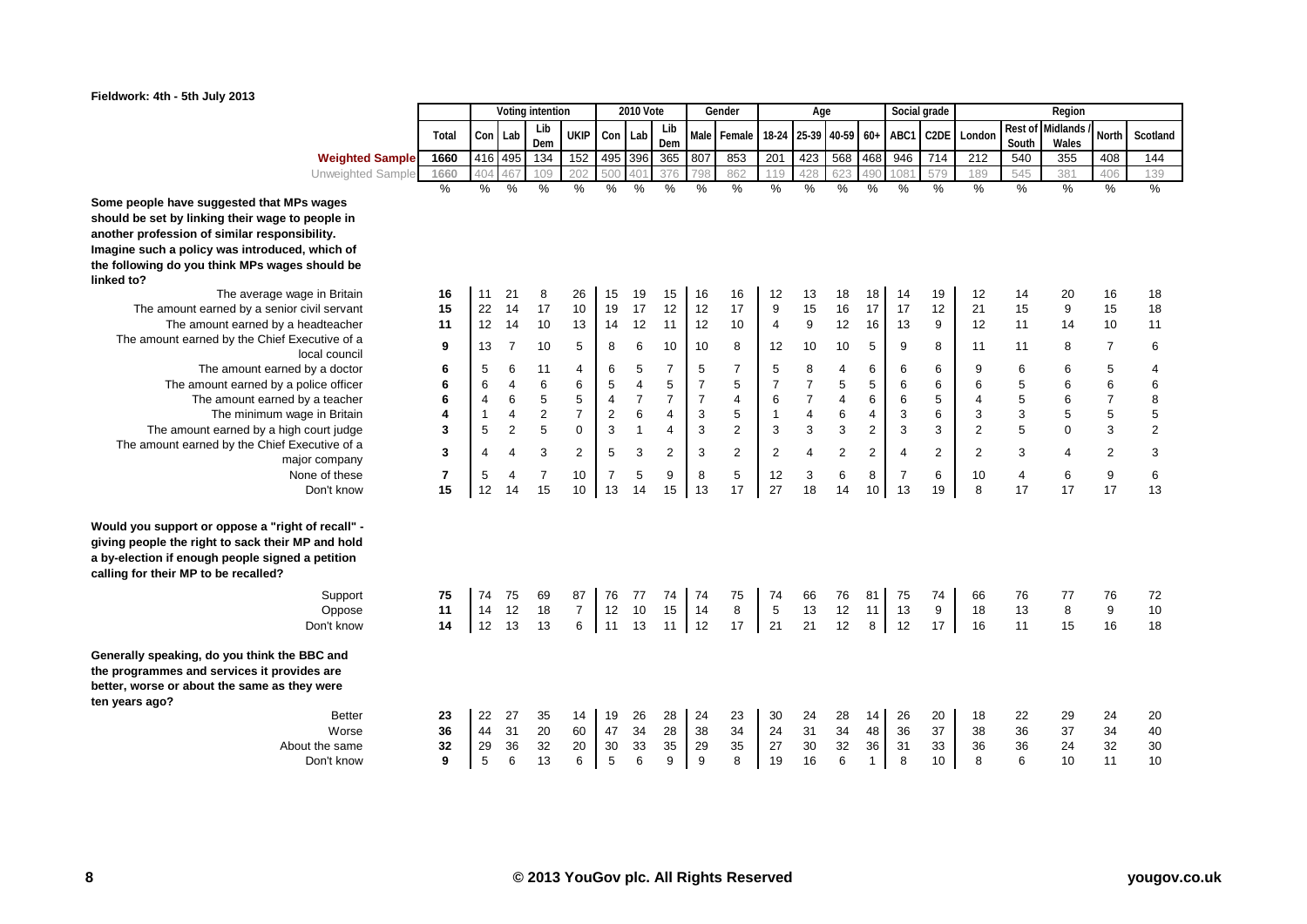

|                                                                                                                                                                                                                                                                                                                                                                                                                  |                                                                                    |                                                                            |                                                                           | Voting intention                                                                        |                                                                                                   |                                                                                                              | <b>2010 Vote</b>                                                                                      |                                                                                         |                                                                                         | Gender                                                                                 |                                                                                      | Age                                                                                      |                                                                            |                                                                                                 | Social grade                                                              |                                                                          |                                                                                         |                                                                            | Region                                                                   |                                                                                                     |                                                                           |
|------------------------------------------------------------------------------------------------------------------------------------------------------------------------------------------------------------------------------------------------------------------------------------------------------------------------------------------------------------------------------------------------------------------|------------------------------------------------------------------------------------|----------------------------------------------------------------------------|---------------------------------------------------------------------------|-----------------------------------------------------------------------------------------|---------------------------------------------------------------------------------------------------|--------------------------------------------------------------------------------------------------------------|-------------------------------------------------------------------------------------------------------|-----------------------------------------------------------------------------------------|-----------------------------------------------------------------------------------------|----------------------------------------------------------------------------------------|--------------------------------------------------------------------------------------|------------------------------------------------------------------------------------------|----------------------------------------------------------------------------|-------------------------------------------------------------------------------------------------|---------------------------------------------------------------------------|--------------------------------------------------------------------------|-----------------------------------------------------------------------------------------|----------------------------------------------------------------------------|--------------------------------------------------------------------------|-----------------------------------------------------------------------------------------------------|---------------------------------------------------------------------------|
|                                                                                                                                                                                                                                                                                                                                                                                                                  | Total                                                                              | Con                                                                        | Lab                                                                       | Lib<br>Dem                                                                              | <b>UKIP</b>                                                                                       | Con                                                                                                          | Lab                                                                                                   | Lib<br>Dem                                                                              | Male                                                                                    | Female                                                                                 | 18-24                                                                                |                                                                                          | 25-39 40-59                                                                | $60+$                                                                                           | ABC1                                                                      | C <sub>2</sub> DE                                                        | London                                                                                  | Rest of<br>South                                                           | <b>Midlands</b><br>Wales                                                 | North                                                                                               | Scotland                                                                  |
| <b>Weighted Sample</b>                                                                                                                                                                                                                                                                                                                                                                                           | 1660                                                                               | 416                                                                        | 495                                                                       | 134                                                                                     | 152                                                                                               | 495                                                                                                          | 396                                                                                                   | 365                                                                                     | 807                                                                                     | 853                                                                                    | 201                                                                                  | 423                                                                                      | 568                                                                        | 468                                                                                             | 946                                                                       | 714                                                                      | $\overline{212}$                                                                        | 540                                                                        | 355                                                                      | 408                                                                                                 | 144                                                                       |
| Unweighted Sample                                                                                                                                                                                                                                                                                                                                                                                                | 1660                                                                               | 404                                                                        | 467                                                                       | 109                                                                                     | 202                                                                                               | 500                                                                                                          | 401                                                                                                   | 376                                                                                     | 798                                                                                     | 862                                                                                    | 119                                                                                  | 428                                                                                      | 623                                                                        | 490                                                                                             | 1081                                                                      | 579                                                                      | 189                                                                                     | 545                                                                        | 381                                                                      | 406                                                                                                 | 139                                                                       |
| suggested that MPs wages<br>king their wage to people in<br>of similar responsibility.<br>icy was introduced, which of<br>u think MPs wages should be                                                                                                                                                                                                                                                            | $\frac{9}{6}$                                                                      | %                                                                          | %                                                                         | %                                                                                       | %                                                                                                 | %                                                                                                            | $\frac{0}{2}$                                                                                         | %                                                                                       | $\%$                                                                                    | $\%$                                                                                   | $\frac{9}{6}$                                                                        | $\%$                                                                                     | %                                                                          | $\%$                                                                                            | $\frac{9}{6}$                                                             | %                                                                        | $\%$                                                                                    | $\frac{0}{2}$                                                              | $\frac{9}{6}$                                                            | %                                                                                                   | $\frac{9}{6}$                                                             |
| The average wage in Britain<br>earned by a senior civil servant<br>nount earned by a headteacher<br>ned by the Chief Executive of a<br>local council<br>The amount earned by a doctor<br>nount earned by a police officer<br>he amount earned by a teacher<br>The minimum wage in Britain<br>int earned by a high court judge<br>ned by the Chief Executive of a<br>major company<br>None of these<br>Don't know | 16<br>15<br>11<br>9<br>6<br>6<br>6<br>4<br>3<br>3<br>$\overline{\mathbf{r}}$<br>15 | 11<br>22<br>12<br>13<br>5<br>6<br>4<br>$\overline{1}$<br>5<br>4<br>5<br>12 | 21<br>14<br>14<br>7<br>6<br>4<br>6<br>4<br>$\overline{2}$<br>4<br>4<br>14 | 8<br>17<br>10<br>10<br>11<br>6<br>5<br>$\overline{2}$<br>5<br>3<br>$\overline{7}$<br>15 | 26<br>10<br>13<br>5<br>4<br>6<br>5<br>$\overline{7}$<br>$\mathbf 0$<br>$\overline{2}$<br>10<br>10 | 15<br>19<br>14<br>8<br>6<br>5<br>$\overline{\mathbf{4}}$<br>$\overline{c}$<br>3<br>5<br>$\overline{7}$<br>13 | 19<br>17<br>12<br>6<br>5<br>$\overline{4}$<br>$\overline{7}$<br>$\,6$<br>$\mathbf{1}$<br>3<br>5<br>14 | 15<br>12<br>11<br>10<br>7<br>5<br>$\overline{7}$<br>4<br>4<br>$\overline{2}$<br>9<br>15 | 16<br>12<br>12<br>10<br>5<br>$\overline{7}$<br>$\overline{7}$<br>3<br>3<br>3<br>8<br>13 | 16<br>17<br>10<br>8<br>7<br>5<br>4<br>5<br>$\overline{2}$<br>$\overline{2}$<br>5<br>17 | 12<br>9<br>4<br>12<br>5<br>7<br>6<br>$\mathbf{1}$<br>3<br>$\overline{2}$<br>12<br>27 | 13<br>15<br>9<br>10<br>8<br>$\overline{7}$<br>$\boldsymbol{7}$<br>4<br>3<br>4<br>3<br>18 | 18<br>16<br>12<br>10<br>4<br>5<br>4<br>6<br>3<br>$\overline{2}$<br>6<br>14 | 18<br>17<br>16<br>5<br>6<br>5<br>6<br>4<br>$\overline{\mathbf{c}}$<br>2<br>8<br>10 <sup>1</sup> | 14<br>17<br>13<br>9<br>6<br>6<br>6<br>3<br>3<br>4<br>$\overline{7}$<br>13 | 19<br>12<br>9<br>8<br>6<br>6<br>5<br>6<br>3<br>$\overline{2}$<br>6<br>19 | 12<br>21<br>12<br>11<br>9<br>6<br>4<br>3<br>$\overline{2}$<br>$\overline{2}$<br>10<br>8 | 14<br>15<br>11<br>11<br>6<br>5<br>5<br>3<br>5<br>3<br>$\overline{4}$<br>17 | 20<br>9<br>14<br>8<br>6<br>6<br>6<br>5<br>$\overline{0}$<br>4<br>6<br>17 | 16<br>15<br>10<br>$\overline{7}$<br>5<br>6<br>$\overline{7}$<br>5<br>3<br>$\overline{2}$<br>9<br>17 | 18<br>18<br>11<br>6<br>4<br>6<br>8<br>5<br>$\overline{2}$<br>3<br>6<br>13 |
| or oppose a "right of recall" -<br>ght to sack their MP and hold<br>ugh people signed a petition<br>to be recalled?<br>Support<br>Oppose<br>Don't know<br>do you think the BBC and                                                                                                                                                                                                                               | 75<br>11<br>14                                                                     | 74<br>14<br>12                                                             | 75<br>12<br>13                                                            | 69<br>18<br>13                                                                          | 87<br>$\overline{7}$<br>6                                                                         | 76<br>12<br>11                                                                                               | 77<br>10<br>13                                                                                        | 74<br>15<br>11                                                                          | 74<br>14<br>12                                                                          | 75<br>8<br>17                                                                          | 74<br>5<br>21                                                                        | 66<br>13<br>21                                                                           | 76<br>12<br>12                                                             | 81<br>11<br>8                                                                                   | 75<br>13<br>12                                                            | 74<br>9<br>17                                                            | 66<br>18<br>16                                                                          | 76<br>13<br>11                                                             | 77<br>8<br>15                                                            | 76<br>9<br>16                                                                                       | 72<br>10<br>18                                                            |
| d services it provides are<br>out the same as they were<br><b>Better</b><br>Worse<br>About the same<br>Don't know                                                                                                                                                                                                                                                                                                | 23<br>36<br>32<br>9                                                                | 22<br>44<br>29<br>5                                                        | 27<br>31<br>36<br>6                                                       | 35<br>20<br>32<br>13                                                                    | 14<br>60<br>20<br>6                                                                               | 19<br>47<br>30<br>5                                                                                          | 26<br>34<br>33<br>6                                                                                   | 28<br>28<br>35<br>9                                                                     | 24<br>38<br>29<br>9                                                                     | 23<br>34<br>35<br>8                                                                    | 30<br>24<br>27<br>19                                                                 | 24<br>31<br>30<br>16                                                                     | 28<br>34<br>32<br>6                                                        | 14<br>48<br>36<br>1                                                                             | 26<br>36<br>31<br>8                                                       | 20<br>37<br>33<br>10                                                     | 18<br>38<br>36<br>8                                                                     | 22<br>36<br>36<br>6                                                        | 29<br>37<br>24<br>10                                                     | 24<br>34<br>32<br>11                                                                                | 20<br>40<br>30<br>10                                                      |

**Some people have suggested that MPs wages** should be set by linking their wage to people another profession of similar responsibil Imagine such a policy was introduced, wh the following do you think MPs wages sh **linked to?**

The amount earned by a senior civil The amount earned by a head The amount earned by the Chief Executive amount earned by the Chief Execution The amount earned by a polic The amount earned by a<br>The minimum wage in The amount earned by a high court The amount earned by the Chief Executive

**Would you support or oppose a "right of** giving people the right to sack their MP a a by-election if enough people signed a pe **calling for their MP to be recalled?**

**Generally speaking, do you think the BBC** the programmes and services it provides better, worse or about the same as they **w ten years ago?**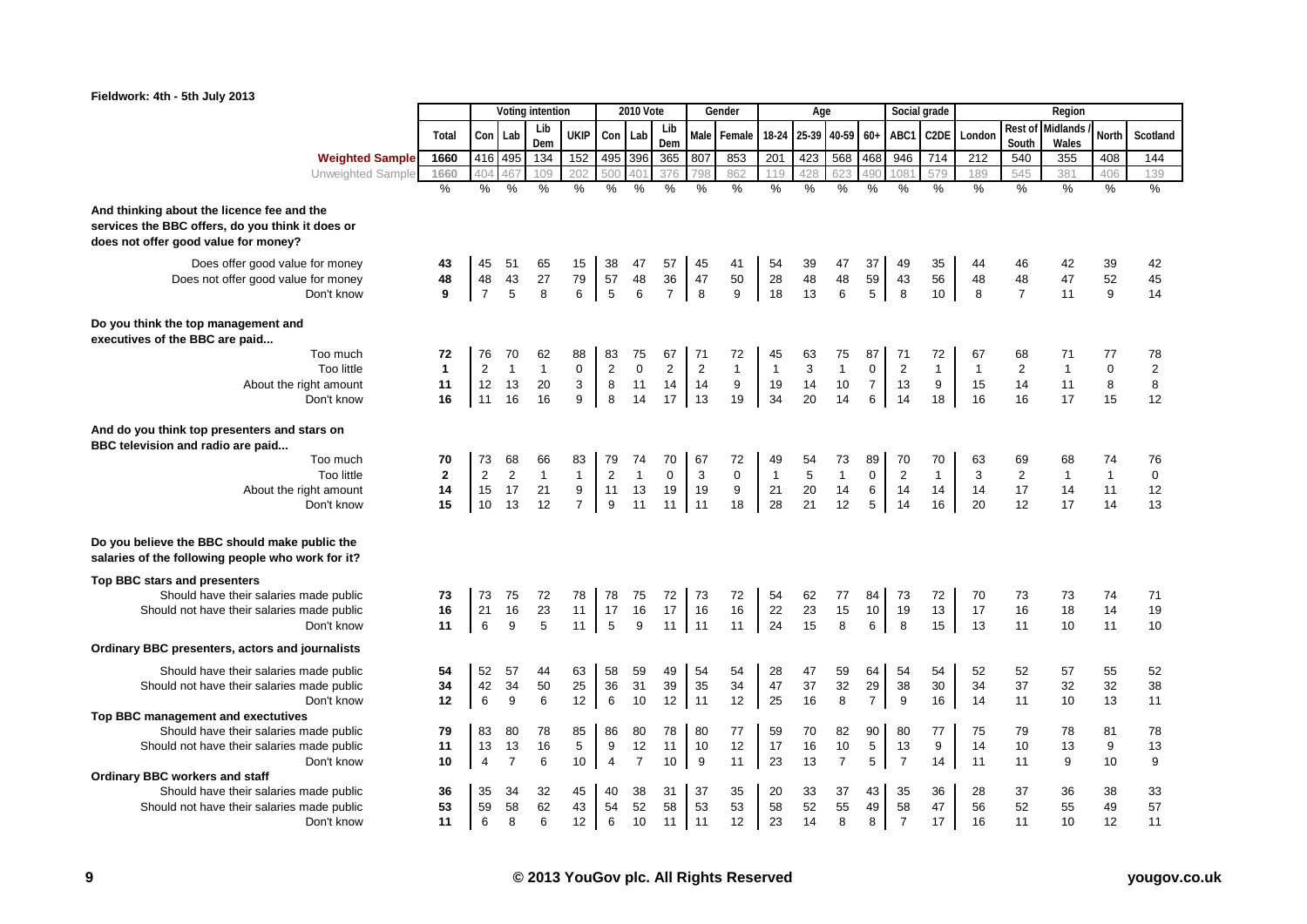

| Fieldwork: 4th - 5th July 2013                                                                                                         |                |                |                |                  |                     |                  |                  |                |                |              |              |            |                |                     |                  |                   |              |                  |                          |              | <i>vvnat the</i> |
|----------------------------------------------------------------------------------------------------------------------------------------|----------------|----------------|----------------|------------------|---------------------|------------------|------------------|----------------|----------------|--------------|--------------|------------|----------------|---------------------|------------------|-------------------|--------------|------------------|--------------------------|--------------|------------------|
|                                                                                                                                        |                |                |                | Voting intention |                     |                  | <b>2010 Vote</b> |                |                | Gender       |              | Age        |                |                     | Social grade     |                   |              |                  | Region                   |              |                  |
|                                                                                                                                        | Total          | Con            | Lab            | Lib<br>Dem       | <b>UKIP</b>         | Con              | Lab              | Lib<br>Dem     | <b>Male</b>    | Female       | 18-24        | 25-39      | 40-59          | $60+$               | ABC <sup>-</sup> | C <sub>2</sub> DE | London       | Rest of<br>South | <b>Midlands</b><br>Wales | North        | Scotland         |
| <b>Weighted Sample</b>                                                                                                                 | 1660           | 416            | 495            | 134              | 152                 | 495 396          |                  | 365            | 807            | 853          | 201          | 423        | 568            | 468                 | 946              | 714               | 212          | 540              | 355                      | 408          | 144              |
| Unweighted Sample                                                                                                                      | 1660           | 404            | 46             | 109              | 202                 | 500              | 40 <sup>°</sup>  | 376            |                | 862          | 119          | 428        | 623            |                     | 108              | 579               | 189          | 545              | 381                      | 406          | 139              |
|                                                                                                                                        | $\frac{0}{6}$  | $\%$           | $\%$           | $\frac{0}{6}$    | $\%$                | %                | %                | %              | $\frac{0}{0}$  | %            | $\%$         | %          | %              | %                   | %                | %                 | $\%$         | %                | $\%$                     | %            | %                |
| And thinking about the licence fee and the<br>services the BBC offers, do you think it does or<br>does not offer good value for money? |                |                |                |                  |                     |                  |                  |                |                |              |              |            |                |                     |                  |                   |              |                  |                          |              |                  |
| Does offer good value for money                                                                                                        | 43             | 45             | 51             | 65               | 15                  | 38               | 47               | 57             | 45             | 41           | 54           | 39         | 47             | 37                  | 49               | 35                | 44           | 46               | 42                       | 39           | 42               |
| Does not offer good value for money                                                                                                    | 48             | 48             | 43             | 27               | 79                  | 57               | 48               | 36             | 47             | 50           | 28           | 48         | 48             | 59                  | 43               | 56                | 48           | 48               | 47                       | 52           | 45               |
| Don't know                                                                                                                             | 9              | $\overline{7}$ | 5              | 8                | 6                   | $\overline{5}$   | $\,6\,$          | $\overline{7}$ | 8              | 9            | 18           | 13         | $\,6$          | 5 <sup>5</sup>      | $\,8\,$          | 10                | 8            | $\overline{7}$   | 11                       | 9            | 14               |
| Do you think the top management and<br>executives of the BBC are paid                                                                  |                |                |                |                  |                     |                  |                  |                |                |              |              |            |                |                     |                  |                   |              |                  |                          |              |                  |
| Too much                                                                                                                               | 72             | 76             | 70             | 62               | 88                  | 83               | 75               | 67             | 71             | 72           | 45           | 63         | 75             | 87                  | 71               | 72                | 67           | 68               | 71                       | 77           | 78               |
| Too little                                                                                                                             | $\mathbf{1}$   | $\sqrt{2}$     | $\mathbf{1}$   | $\mathbf{1}$     | 0                   | $\boldsymbol{2}$ | $\mathbf 0$      | $\overline{2}$ | $\overline{c}$ | $\mathbf{1}$ | $\mathbf{1}$ | 3          | $\mathbf{1}$   | $\mathbf 0$         | $\sqrt{2}$       | $\mathbf{1}$      | $\mathbf{1}$ | $\overline{2}$   | $\mathbf{1}$             | $\mathbf 0$  | $\overline{c}$   |
| About the right amount<br>Don't know                                                                                                   | 11<br>16       | 12<br>11       | 13<br>16       | 20<br>16         | 3<br>9              | 8<br>8           | 11<br>14         | 14<br>17       | 14<br>13       | 9<br>19      | 19<br>34     | 14<br>20   | 10<br>14       | $\overline{7}$<br>6 | 13<br>14         | 9<br>18           | 15<br>16     | 14<br>16         | 11<br>17                 | 8<br>15      | 8<br>12          |
|                                                                                                                                        |                |                |                |                  |                     |                  |                  |                |                |              |              |            |                |                     |                  |                   |              |                  |                          |              |                  |
| And do you think top presenters and stars on<br>BBC television and radio are paid                                                      |                |                |                |                  |                     |                  |                  |                |                |              |              |            |                |                     |                  |                   |              |                  |                          |              |                  |
| Too much                                                                                                                               | 70             | 73             | 68             | 66               | 83                  | 79               | 74               | 70             | 67             | 72           | 49           | 54         | 73             | 89                  | 70               | 70                | 63           | 69               | 68                       | 74           | 76               |
| Too little                                                                                                                             | $\overline{2}$ | $\overline{2}$ | 2              | $\mathbf{1}$     | $\mathbf{1}$        | $\overline{2}$   | $\mathbf{1}$     | $\mathbf 0$    | 3              | $\mathbf 0$  | $\mathbf{1}$ | $\sqrt{5}$ | $\mathbf{1}$   | $\mathbf 0$         | $\sqrt{2}$       | $\mathbf{1}$      | 3            | $\overline{2}$   | $\mathbf{1}$             | $\mathbf{1}$ | $\mathbf 0$      |
| About the right amount<br>Don't know                                                                                                   | 14<br>15       | 15<br>10       | 17             | 21<br>12         | 9<br>$\overline{7}$ | 11<br>9          | 13               | 19             | 19<br>11       | 9            | 21<br>28     | 20<br>21   | 14<br>12       | $\,6\,$             | 14               | 14<br>16          | 14<br>20     | 17<br>12         | 14<br>17                 | 11<br>14     | 12<br>13         |
|                                                                                                                                        |                |                | 13             |                  |                     |                  | 11               | 11             |                | 18           |              |            |                | 5                   | 14               |                   |              |                  |                          |              |                  |
| Do you believe the BBC should make public the<br>salaries of the following people who work for it?                                     |                |                |                |                  |                     |                  |                  |                |                |              |              |            |                |                     |                  |                   |              |                  |                          |              |                  |
| Top BBC stars and presenters                                                                                                           |                |                |                |                  |                     |                  |                  |                |                |              |              |            |                |                     |                  |                   |              |                  |                          |              |                  |
| Should have their salaries made public                                                                                                 | 73             | 73             | 75             | 72               | 78                  | 78               | 75               | 72             | 73             | 72           | 54           | 62         | 77             | 84                  | 73               | 72                | 70           | 73               | 73                       | 74           | 71               |
| Should not have their salaries made public                                                                                             | 16             | 21             | 16             | 23               | 11                  | 17               | 16               | 17             | 16             | 16           | 22           | 23         | 15             | $10\,$              | 19               | 13                | 17           | 16               | 18                       | 14           | 19               |
| Don't know                                                                                                                             | 11             | 6              | 9              | 5                | 11                  | 5                | 9                | 11             | $\vert$ 11     | 11           | 24           | 15         | 8              | 6                   | 8                | 15                | 13           | 11               | 10                       | 11           | 10               |
| Ordinary BBC presenters, actors and journalists                                                                                        |                |                |                |                  |                     |                  |                  |                |                |              |              |            |                |                     |                  |                   |              |                  |                          |              |                  |
| Should have their salaries made public                                                                                                 | 54             | 52             | 57             | 44               | 63                  | 58               | 59               | 49             | 54             | 54           | 28           | 47         | 59             | 64                  | 54               | 54                | 52           | 52               | 57                       | 55           | 52               |
| Should not have their salaries made public                                                                                             | 34             | 42             | 34             | 50               | 25                  | 36               | 31               | 39             | 35             | 34           | 47           | 37         | 32             | 29                  | 38               | 30                | 34           | 37               | 32                       | 32           | 38               |
| Don't know                                                                                                                             | 12             | $\,6\,$        | 9              | 6                | 12                  | 6                | 10               | 12             | 11             | 12           | 25           | 16         | 8              | $\overline{7}$      | 9                | 16                | 14           | 11               | 10                       | 13           | 11               |
| Top BBC management and exectutives<br>Should have their salaries made public                                                           | 79             | 83             | 80             | 78               | 85                  | 86               | 80               | 78             | 80             | 77           | 59           | 70         | 82             | 90                  | 80               | 77                | 75           | 79               | 78                       | 81           | 78               |
| Should not have their salaries made public                                                                                             | 11             | 13             | 13             | 16               | 5                   | 9                | 12               | 11             | 10             | 12           | 17           | 16         | 10             | $\,$ 5 $\,$         | 13               | 9                 | 14           | 10               | 13                       | 9            | 13               |
| Don't know                                                                                                                             | 10             | $\overline{4}$ | $\overline{7}$ | 6                | 10                  | $\overline{4}$   | $\overline{7}$   | 10             | 9              | 11           | 23           | 13         | $\overline{7}$ | $\,$ 5 $\,$         | $\overline{7}$   | 14                | 11           | 11               | 9                        | 10           | 9                |
| <b>Ordinary BBC workers and staff</b>                                                                                                  |                |                |                |                  |                     |                  |                  |                |                |              |              |            |                |                     |                  |                   |              |                  |                          |              |                  |
| Should have their salaries made public                                                                                                 | 36             | 35             | 34             | 32               | 45                  | 40               | 38               | 31             | 37             | 35           | 20           | 33         | 37             | 43                  | 35               | 36                | 28           | 37               | 36                       | 38           | 33               |
| Should not have their salaries made public                                                                                             | 53             | 59             | 58             | 62               | 43                  | 54               | 52               | 58             | 53             | 53           | 58           | 52         | 55             | 49                  | 58               | 47                | 56           | 52               | 55                       | 49           | 57               |
| Don't know                                                                                                                             | 11             | 6              | 8              | 6                | 12                  | 6                | 10               | 11             | $\vert$ 11     | 12           | 23           | 14         | 8              | 8                   | $\overline{7}$   | 17                | 16           | 11               | 10                       | 12           | 11               |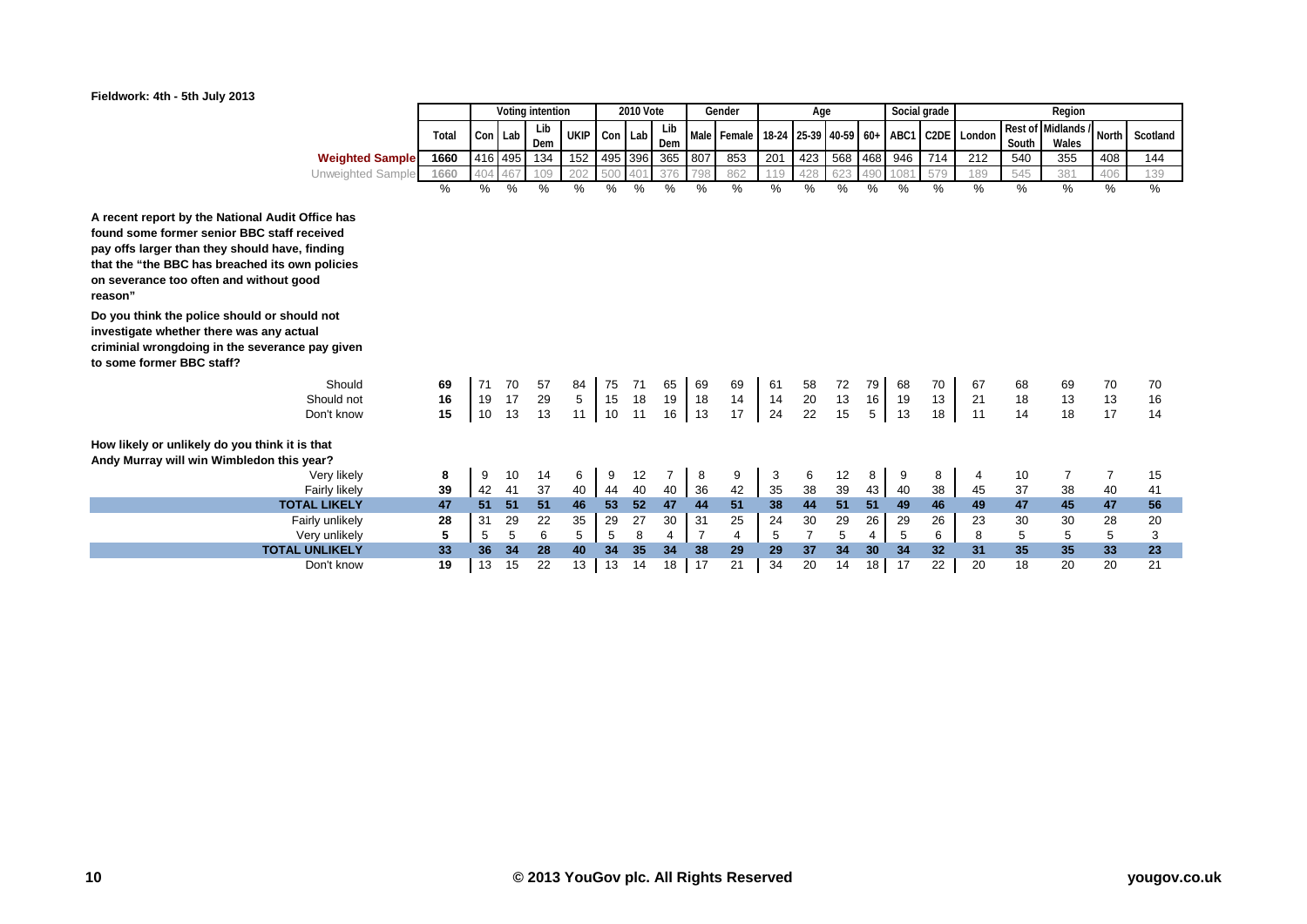

|                                                                                                                                                                                                                                                            |       | Voting intention |         |               |             |         | 2010 Vote       |      |     | Gender      |         | Age             |     |     | Social grade     |                   |        |       | Region             |                |          |
|------------------------------------------------------------------------------------------------------------------------------------------------------------------------------------------------------------------------------------------------------------|-------|------------------|---------|---------------|-------------|---------|-----------------|------|-----|-------------|---------|-----------------|-----|-----|------------------|-------------------|--------|-------|--------------------|----------------|----------|
|                                                                                                                                                                                                                                                            | Total | Con Lab          |         | Lib           | <b>UKIP</b> | Con Lab |                 | Lib  |     | Male Female | $18-24$ | 25-39 40-59 60+ |     |     | ABC1             | C <sub>2</sub> DE | London |       | Rest of Midlands / | <b>North</b>   | Scotland |
|                                                                                                                                                                                                                                                            |       |                  |         | Dem           |             |         |                 | Dem  |     |             |         |                 |     |     |                  |                   |        | South | Wales              |                |          |
| <b>Weighted Sample</b>                                                                                                                                                                                                                                     | 1660  |                  | 416 495 | 134           | 152         |         | 495 396         | 365  | 807 | 853         | 201     | 423             | 568 | 468 | 946              | 714               | 212    | 540   | 355                | 408            | 144      |
| Unweighted Sample                                                                                                                                                                                                                                          | 1660  | 404              | 467     | 109           | 202         | 500     | 40 <sup>4</sup> | 376  | 798 | 862         | 119     | 428             | 623 | 490 | 108 <sup>7</sup> | 579               | 189    | 545   | 381                | 406            | 139      |
|                                                                                                                                                                                                                                                            | %     | %                | %       | $\frac{0}{0}$ | $\%$        | %       | %               | $\%$ | %   | %           | %       | $\%$            | %   | %   | %                | $\%$              | $\%$   | %     | %                  | %              | $\%$     |
| A recent report by the National Audit Office has<br>found some former senior BBC staff received<br>pay offs larger than they should have, finding<br>that the "the BBC has breached its own policies<br>on severance too often and without good<br>reason" |       |                  |         |               |             |         |                 |      |     |             |         |                 |     |     |                  |                   |        |       |                    |                |          |
| Do you think the police should or should not<br>investigate whether there was any actual<br>criminial wrongdoing in the severance pay given<br>to some former BBC staff?                                                                                   |       |                  |         |               |             |         |                 |      |     |             |         |                 |     |     |                  |                   |        |       |                    |                |          |
| Should                                                                                                                                                                                                                                                     | 69    | 71               | 70      | 57            | 84          | 75      | 71              | 65   | 69  | 69          | 61      | 58              | 72  | 79  | 68               | 70                | 67     | 68    | 69                 | 70             | 70       |
| Should not                                                                                                                                                                                                                                                 | 16    | 19               | 17      | 29            | 5           | 15      | 18              | 19   | 18  | 14          | 14      | 20              | 13  | 16  | 19               | 13                | 21     | 18    | 13                 | 13             | 16       |
| Don't know                                                                                                                                                                                                                                                 | 15    | 10               | 13      | 13            | 11          | 10      | 11              | 16   | 13  | 17          | 24      | 22              | 15  | 5   | 13               | 18                | 11     | 14    | 18                 | 17             | 14       |
| How likely or unlikely do you think it is that<br>Andy Murray will win Wimbledon this year?                                                                                                                                                                |       |                  |         |               |             |         |                 |      |     |             |         |                 |     |     |                  |                   |        |       |                    |                |          |
| Very likely                                                                                                                                                                                                                                                | 8     | 9                | 10      | 14            | 6           | 9       | 12              | 7    | 8   | 9           | 3       | 6               | 12  | 8   | 9                | 8                 | 4      | 10    | $\overline{7}$     | $\overline{7}$ | 15       |
| Fairly likely                                                                                                                                                                                                                                              | 39    | 42               | 41      | 37            | 40          | 44      | 40              | 40   | 36  | 42          | 35      | 38              | 39  | 43  | 40               | 38                | 45     | 37    | 38                 | 40             | 41       |
| <b>TOTAL LIKELY</b>                                                                                                                                                                                                                                        | 47    | 51               | 51      | 51            | 46          | 53      | 52              | 47   | 44  | 51          | 38      | 44              | 51  | 51  | 49               | 46                | 49     | 47    | 45                 | 47             | 56       |
| Fairly unlikely                                                                                                                                                                                                                                            | 28    | 31               | 29      | 22            | 35          | 29      | 27              | 30   | 31  | 25          | 24      | 30              | 29  | 26  | 29               | 26                | 23     | 30    | 30                 | 28             | 20       |
| Very unlikely                                                                                                                                                                                                                                              | 5     | 5                | 5       | 6             | 5           | 5       | 8               | 4    |     | 4           | 5       | $\overline{7}$  | 5   | 4   | 5                | 6                 | 8      | 5     | 5                  | 5              | 3        |
| <b>TOTAL UNLIKELY</b>                                                                                                                                                                                                                                      | 33    | 36               | 34      | 28            | 40          | 34      | 35              | 34   | 38  | 29          | 29      | 37              | 34  | 30  | 34               | 32                | 31     | 35    | 35                 | 33             | 23       |
| Don't know                                                                                                                                                                                                                                                 | 19    | 13               | 15      | 22            | 13          | 13      | 14              | 18   | 17  | 21          | 34      | 20              | 14  | 18  | 17               | 22                | 20     | 18    | 20                 | 20             | 21       |